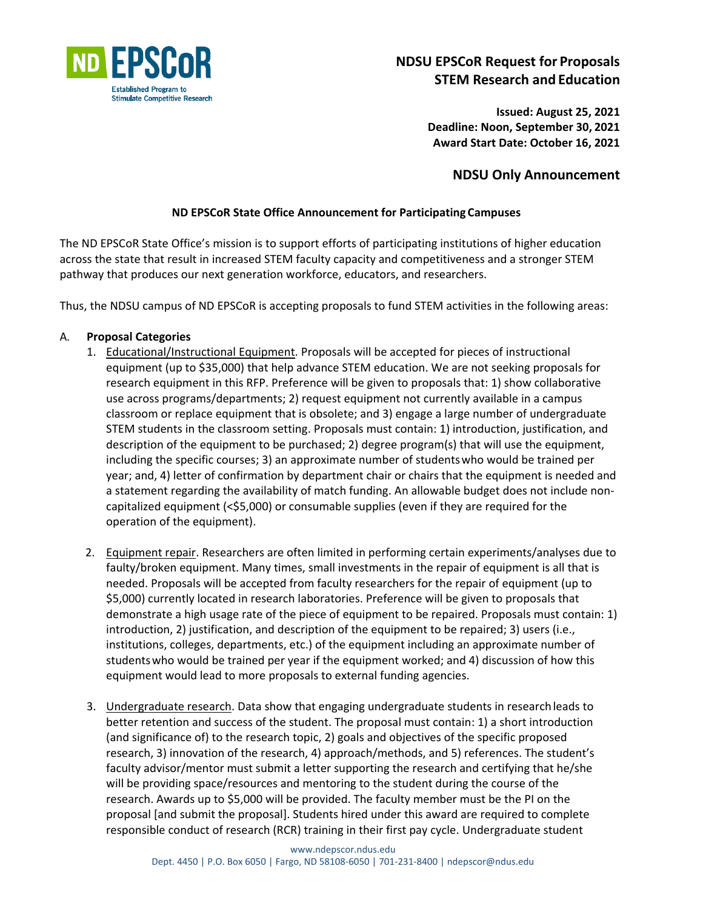

# **NDSU EPSCoR Request for Proposals STEM Research and Education**

**Issued: August 25, 2021 Deadline: Noon, September 30, 2021 Award Start Date: October 16, 2021**

# **NDSU Only Announcement**

# **ND EPSCoR State Office Announcement for Participating Campuses**

The ND EPSCoR State Office's mission is to support efforts of participating institutions of higher education across the state that result in increased STEM faculty capacity and competitiveness and a stronger STEM pathway that produces our next generation workforce, educators, and researchers.

Thus, the NDSU campus of ND EPSCoR is accepting proposals to fund STEM activities in the following areas:

# A. **Proposal Categories**

- 1. Educational/Instructional Equipment. Proposals will be accepted for pieces of instructional equipment (up to \$35,000) that help advance STEM education. We are not seeking proposals for research equipment in this RFP. Preference will be given to proposals that: 1) show collaborative use across programs/departments; 2) request equipment not currently available in a campus classroom or replace equipment that is obsolete; and 3) engage a large number of undergraduate STEM students in the classroom setting. Proposals must contain: 1) introduction, justification, and description of the equipment to be purchased; 2) degree program(s) that will use the equipment, including the specific courses; 3) an approximate number of studentswho would be trained per year; and, 4) letter of confirmation by department chair or chairs that the equipment is needed and a statement regarding the availability of match funding. An allowable budget does not include noncapitalized equipment (<\$5,000) or consumable supplies (even if they are required for the operation of the equipment).
- 2. Equipment repair. Researchers are often limited in performing certain experiments/analyses due to faulty/broken equipment. Many times, small investments in the repair of equipment is all that is needed. Proposals will be accepted from faculty researchers for the repair of equipment (up to \$5,000) currently located in research laboratories. Preference will be given to proposals that demonstrate a high usage rate of the piece of equipment to be repaired. Proposals must contain: 1) introduction, 2) justification, and description of the equipment to be repaired; 3) users (i.e., institutions, colleges, departments, etc.) of the equipment including an approximate number of studentswho would be trained per year if the equipment worked; and 4) discussion of how this equipment would lead to more proposals to external funding agencies.
- 3. **Undergraduate research**. Data show that engaging undergraduate students in research leads to better retention and success of the student. The proposal must contain: 1) a short introduction (and significance of) to the research topic, 2) goals and objectives of the specific proposed research, 3) innovation of the research, 4) approach/methods, and 5) references. The student's faculty advisor/mentor must submit a letter supporting the research and certifying that he/she will be providing space/resources and mentoring to the student during the course of the research. Awards up to \$5,000 will be provided. The faculty member must be the PI on the proposal [and submit the proposal]. Students hired under this award are required to complete responsible conduct of research (RCR) training in their first pay cycle. Undergraduate student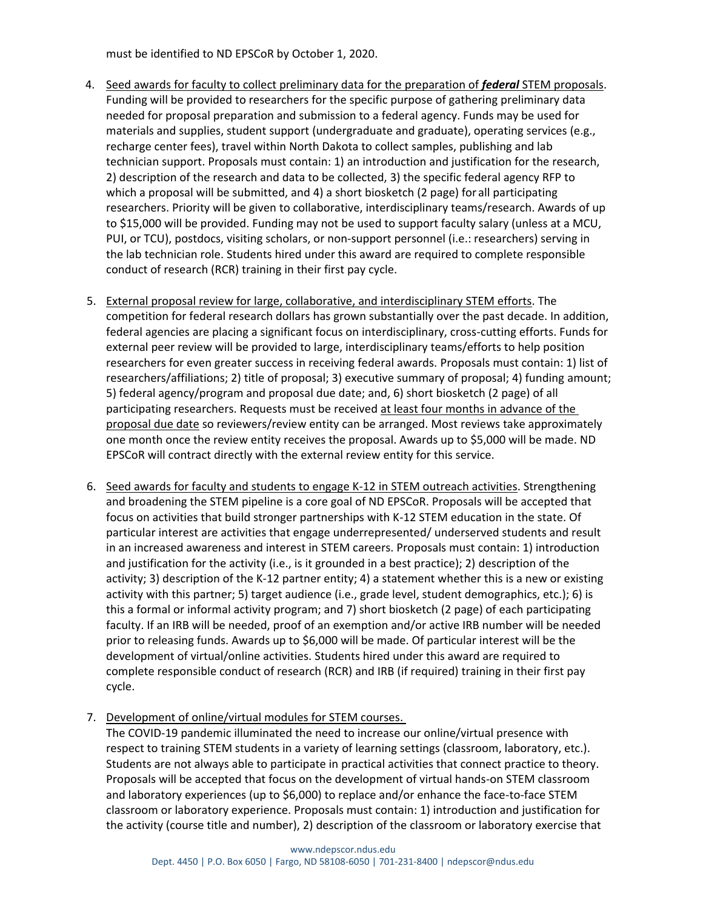must be identified to ND EPSCoR by October 1, 2020.

- 4. Seed awards for faculty to collect preliminary data for the preparation of *federal* STEM proposals. Funding will be provided to researchers for the specific purpose of gathering preliminary data needed for proposal preparation and submission to a federal agency. Funds may be used for materials and supplies, student support (undergraduate and graduate), operating services (e.g., recharge center fees), travel within North Dakota to collect samples, publishing and lab technician support. Proposals must contain: 1) an introduction and justification for the research, 2) description of the research and data to be collected, 3) the specific federal agency RFP to which a proposal will be submitted, and 4) a short biosketch (2 page) for all participating researchers. Priority will be given to collaborative, interdisciplinary teams/research. Awards of up to \$15,000 will be provided. Funding may not be used to support faculty salary (unless at a MCU, PUI, or TCU), postdocs, visiting scholars, or non-support personnel (i.e.: researchers) serving in the lab technician role. Students hired under this award are required to complete responsible conduct of research (RCR) training in their first pay cycle.
- 5. External proposal review for large, collaborative, and interdisciplinary STEM efforts. The competition for federal research dollars has grown substantially over the past decade. In addition, federal agencies are placing a significant focus on interdisciplinary, cross-cutting efforts. Funds for external peer review will be provided to large, interdisciplinary teams/efforts to help position researchers for even greater success in receiving federal awards. Proposals must contain: 1) list of researchers/affiliations; 2) title of proposal; 3) executive summary of proposal; 4) funding amount; 5) federal agency/program and proposal due date; and, 6) short biosketch (2 page) of all participating researchers. Requests must be received at least four months in advance of the proposal due date so reviewers/review entity can be arranged. Most reviews take approximately one month once the review entity receives the proposal. Awards up to \$5,000 will be made. ND EPSCoR will contract directly with the external review entity for this service.
- 6. Seed awards for faculty and students to engage K-12 in STEM outreach activities. Strengthening and broadening the STEM pipeline is a core goal of ND EPSCoR. Proposals will be accepted that focus on activities that build stronger partnerships with K-12 STEM education in the state. Of particular interest are activities that engage underrepresented/ underserved students and result in an increased awareness and interest in STEM careers. Proposals must contain: 1) introduction and justification for the activity (i.e., is it grounded in a best practice); 2) description of the activity; 3) description of the K-12 partner entity; 4) a statement whether this is a new or existing activity with this partner; 5) target audience (i.e., grade level, student demographics, etc.); 6) is this a formal or informal activity program; and 7) short biosketch (2 page) of each participating faculty. If an IRB will be needed, proof of an exemption and/or active IRB number will be needed prior to releasing funds. Awards up to \$6,000 will be made. Of particular interest will be the development of virtual/online activities. Students hired under this award are required to complete responsible conduct of research (RCR) and IRB (if required) training in their first pay cycle.
- 7. Development of online/virtual modules for STEM courses.

The COVID-19 pandemic illuminated the need to increase our online/virtual presence with respect to training STEM students in a variety of learning settings (classroom, laboratory, etc.). Students are not always able to participate in practical activities that connect practice to theory. Proposals will be accepted that focus on the development of virtual hands-on STEM classroom and laboratory experiences (up to \$6,000) to replace and/or enhance the face-to-face STEM classroom or laboratory experience. Proposals must contain: 1) introduction and justification for the activity (course title and number), 2) description of the classroom or laboratory exercise that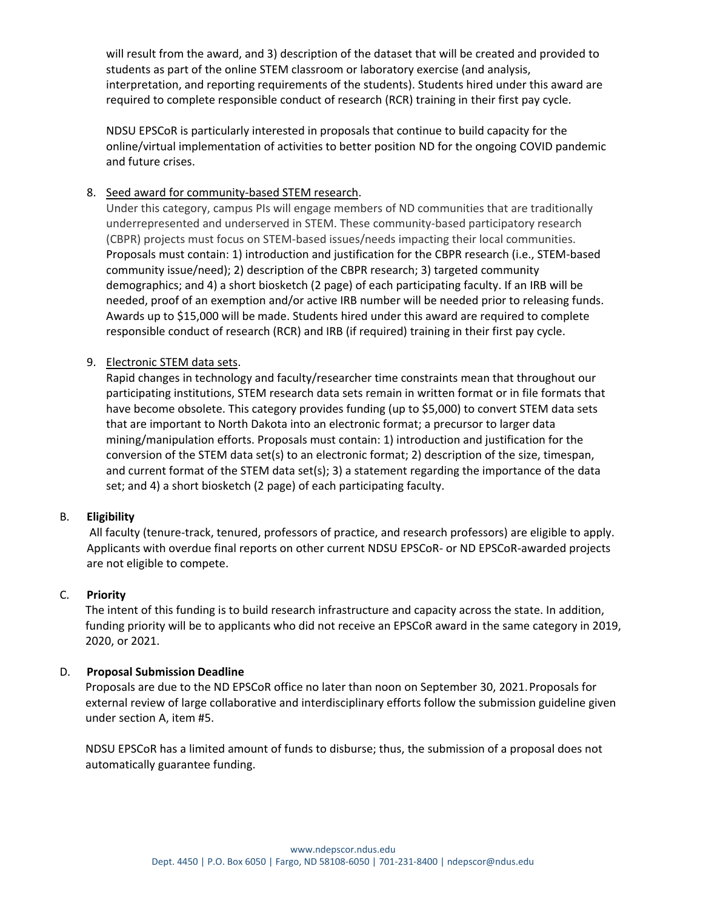will result from the award, and 3) description of the dataset that will be created and provided to students as part of the online STEM classroom or laboratory exercise (and analysis, interpretation, and reporting requirements of the students). Students hired under this award are required to complete responsible conduct of research (RCR) training in their first pay cycle.

NDSU EPSCoR is particularly interested in proposals that continue to build capacity for the online/virtual implementation of activities to better position ND for the ongoing COVID pandemic and future crises.

## 8. Seed award for community-based STEM research.

Under this category, campus PIs will engage members of ND communities that are traditionally underrepresented and underserved in STEM. These community-based participatory research (CBPR) projects must focus on STEM-based issues/needs impacting their local communities. Proposals must contain: 1) introduction and justification for the CBPR research (i.e., STEM-based community issue/need); 2) description of the CBPR research; 3) targeted community demographics; and 4) a short biosketch (2 page) of each participating faculty. If an IRB will be needed, proof of an exemption and/or active IRB number will be needed prior to releasing funds. Awards up to \$15,000 will be made. Students hired under this award are required to complete responsible conduct of research (RCR) and IRB (if required) training in their first pay cycle.

#### 9. Electronic STEM data sets.

Rapid changes in technology and faculty/researcher time constraints mean that throughout our participating institutions, STEM research data sets remain in written format or in file formats that have become obsolete. This category provides funding (up to \$5,000) to convert STEM data sets that are important to North Dakota into an electronic format; a precursor to larger data mining/manipulation efforts. Proposals must contain: 1) introduction and justification for the conversion of the STEM data set(s) to an electronic format; 2) description of the size, timespan, and current format of the STEM data set(s); 3) a statement regarding the importance of the data set; and 4) a short biosketch (2 page) of each participating faculty.

#### B. **Eligibility**

All faculty (tenure-track, tenured, professors of practice, and research professors) are eligible to apply. Applicants with overdue final reports on other current NDSU EPSCoR- or ND EPSCoR-awarded projects are not eligible to compete.

#### C. **Priority**

The intent of this funding is to build research infrastructure and capacity across the state. In addition, funding priority will be to applicants who did not receive an EPSCoR award in the same category in 2019, 2020, or 2021.

#### D. **Proposal Submission Deadline**

Proposals are due to the ND EPSCoR office no later than noon on September 30, 2021.Proposals for external review of large collaborative and interdisciplinary efforts follow the submission guideline given under section A, item #5.

NDSU EPSCoR has a limited amount of funds to disburse; thus, the submission of a proposal does not automatically guarantee funding.